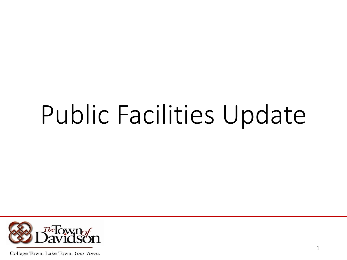# Public Facilities Update

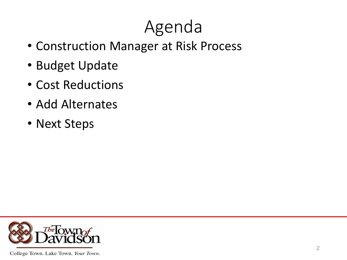# Agenda

- Construction Manager at Risk Process
- Budget Update
- Cost Reductions
- Add Alternates
- Next Steps

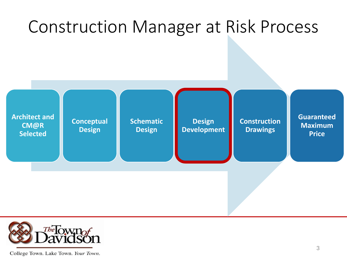### Construction Manager at Risk Process



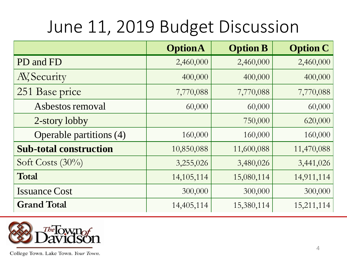## June 11, 2019 Budget Discussion

|                               | <b>OptionA</b> | <b>Option B</b> | <b>Option C</b> |
|-------------------------------|----------------|-----------------|-----------------|
| PD and FD                     | 2,460,000      | 2,460,000       | 2,460,000       |
| AV, Security                  | 400,000        | 400,000         | 400,000         |
| 251 Base price                | 7,770,088      | 7,770,088       | 7,770,088       |
| Asbestos removal              | 60,000         | 60,000          | 60,000          |
| 2-story lobby                 |                | 750,000         | 620,000         |
| Operable partitions (4)       | 160,000        | 160,000         | 160,000         |
| <b>Sub-total construction</b> | 10,850,088     | 11,600,088      | 11,470,088      |
| Soft Costs $(30\%)$           | 3,255,026      | 3,480,026       | 3,441,026       |
| Total                         | 14, 105, 114   | 15,080,114      | 14,911,114      |
| <b>Issuance Cost</b>          | 300,000        | 300,000         | 300,000         |
| <b>Grand Total</b>            | 14,405,114     | 15,380,114      | 15,211,114      |

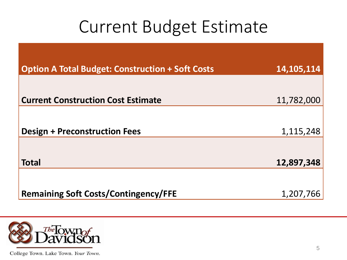#### Current Budget Estimate

| <b>Option A Total Budget: Construction + Soft Costs</b> | 14, 105, 114 |
|---------------------------------------------------------|--------------|
|                                                         |              |
| <b>Current Construction Cost Estimate</b>               | 11,782,000   |
|                                                         |              |
| <b>Design + Preconstruction Fees</b>                    | 1,115,248    |
|                                                         |              |
| <b>Total</b>                                            | 12,897,348   |
|                                                         |              |
| <b>Remaining Soft Costs/Contingency/FFE</b>             | 1,207,766    |

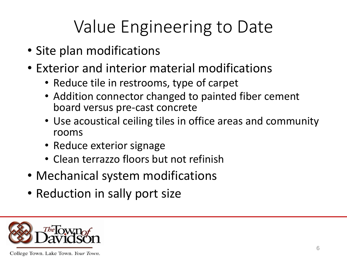- Site plan modifications
- Exterior and interior material modifications
	- Reduce tile in restrooms, type of carpet
	- Addition connector changed to painted fiber cement board versus pre-cast concrete
	- Use acoustical ceiling tiles in office areas and community rooms
	- Reduce exterior signage
	- Clean terrazzo floors but not refinish
- Mechanical system modifications
- Reduction in sally port size

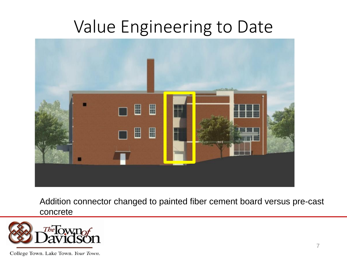

Addition connector changed to painted fiber cement board versus pre-cast concrete

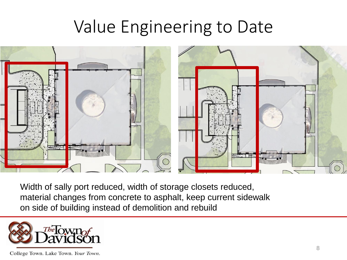

Width of sally port reduced, width of storage closets reduced, material changes from concrete to asphalt, keep current sidewalk on side of building instead of demolition and rebuild

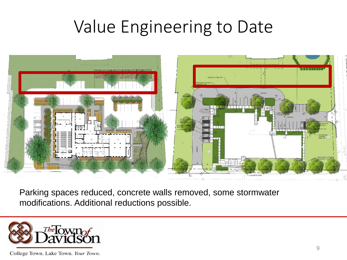

Parking spaces reduced, concrete walls removed, some stormwater modifications. Additional reductions possible.

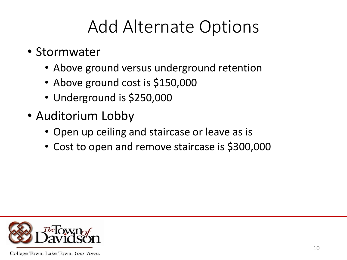## Add Alternate Options

- Stormwater
	- Above ground versus underground retention
	- Above ground cost is \$150,000
	- Underground is \$250,000
- Auditorium Lobby
	- Open up ceiling and staircase or leave as is
	- Cost to open and remove staircase is \$300,000

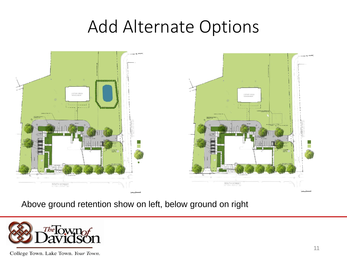#### Add Alternate Options



Above ground retention show on left, below ground on right

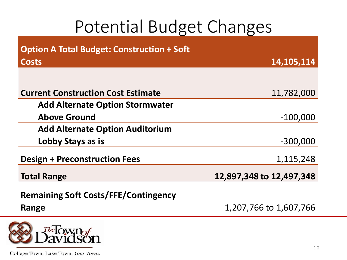## Potential Budget Changes

| <b>Option A Total Budget: Construction + Soft</b> |                          |
|---------------------------------------------------|--------------------------|
| <b>Costs</b>                                      | 14,105,114               |
|                                                   |                          |
| <b>Current Construction Cost Estimate</b>         | 11,782,000               |
| <b>Add Alternate Option Stormwater</b>            |                          |
| <b>Above Ground</b>                               | $-100,000$               |
| <b>Add Alternate Option Auditorium</b>            |                          |
| Lobby Stays as is                                 | $-300,000$               |
| <b>Design + Preconstruction Fees</b>              | 1,115,248                |
| <b>Total Range</b>                                | 12,897,348 to 12,497,348 |
| <b>Remaining Soft Costs/FFE/Contingency</b>       |                          |
| Range                                             | 1,207,766 to 1,607,766   |